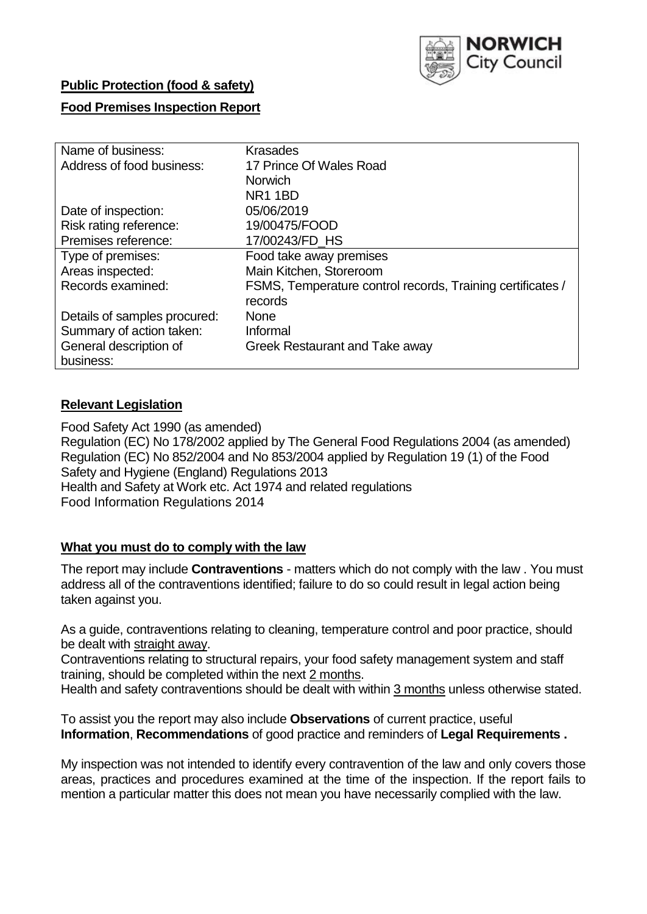

# **Public Protection (food & safety)**

# **Food Premises Inspection Report**

| Name of business:            | <b>Krasades</b>                                            |
|------------------------------|------------------------------------------------------------|
| Address of food business:    | 17 Prince Of Wales Road                                    |
|                              | <b>Norwich</b>                                             |
|                              | <b>NR1 1BD</b>                                             |
| Date of inspection:          | 05/06/2019                                                 |
| Risk rating reference:       | 19/00475/FOOD                                              |
| Premises reference:          | 17/00243/FD_HS                                             |
| Type of premises:            | Food take away premises                                    |
| Areas inspected:             | Main Kitchen, Storeroom                                    |
| Records examined:            | FSMS, Temperature control records, Training certificates / |
|                              | records                                                    |
| Details of samples procured: | <b>None</b>                                                |
| Summary of action taken:     | Informal                                                   |
| General description of       | Greek Restaurant and Take away                             |
| business:                    |                                                            |

# **Relevant Legislation**

Food Safety Act 1990 (as amended) Regulation (EC) No 178/2002 applied by The General Food Regulations 2004 (as amended) Regulation (EC) No 852/2004 and No 853/2004 applied by Regulation 19 (1) of the Food Safety and Hygiene (England) Regulations 2013 Health and Safety at Work etc. Act 1974 and related regulations Food Information Regulations 2014

#### **What you must do to comply with the law**

The report may include **Contraventions** - matters which do not comply with the law . You must address all of the contraventions identified; failure to do so could result in legal action being taken against you.

As a guide, contraventions relating to cleaning, temperature control and poor practice, should be dealt with straight away.

Contraventions relating to structural repairs, your food safety management system and staff training, should be completed within the next 2 months.

Health and safety contraventions should be dealt with within 3 months unless otherwise stated.

To assist you the report may also include **Observations** of current practice, useful **Information**, **Recommendations** of good practice and reminders of **Legal Requirements .**

My inspection was not intended to identify every contravention of the law and only covers those areas, practices and procedures examined at the time of the inspection. If the report fails to mention a particular matter this does not mean you have necessarily complied with the law.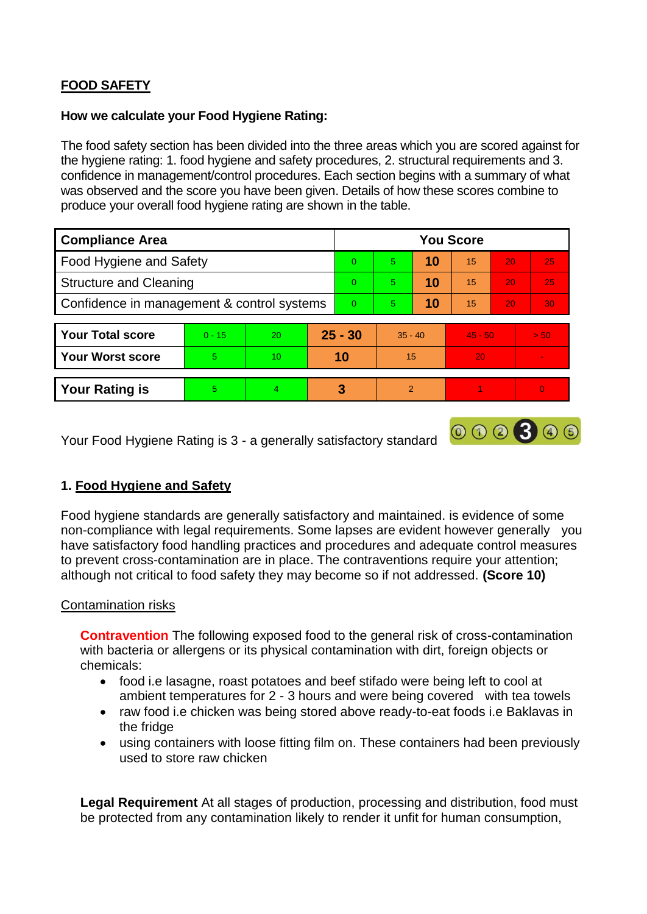# **FOOD SAFETY**

#### **How we calculate your Food Hygiene Rating:**

The food safety section has been divided into the three areas which you are scored against for the hygiene rating: 1. food hygiene and safety procedures, 2. structural requirements and 3. confidence in management/control procedures. Each section begins with a summary of what was observed and the score you have been given. Details of how these scores combine to produce your overall food hygiene rating are shown in the table.

| <b>Compliance Area</b>                     |          |    |          | <b>You Score</b> |                |    |           |                 |          |  |  |
|--------------------------------------------|----------|----|----------|------------------|----------------|----|-----------|-----------------|----------|--|--|
| Food Hygiene and Safety                    |          |    |          | $\Omega$         | 5              | 10 | 15        | 20              | 25       |  |  |
| <b>Structure and Cleaning</b>              |          |    | $\Omega$ | 5                | 10             | 15 | 20        | 25              |          |  |  |
| Confidence in management & control systems |          |    | $\Omega$ | 5 <sup>5</sup>   | 10             | 15 | 20        | 30 <sup>°</sup> |          |  |  |
|                                            |          |    |          |                  |                |    |           |                 |          |  |  |
| <b>Your Total score</b>                    | $0 - 15$ | 20 |          | $25 - 30$        | $35 - 40$      |    | $45 - 50$ |                 | > 50     |  |  |
| <b>Your Worst score</b>                    | 5        | 10 |          | 10               | 15             |    | 20        |                 |          |  |  |
|                                            |          |    |          |                  |                |    |           |                 |          |  |  |
| <b>Your Rating is</b>                      | 5        | 4  |          | 3                | $\overline{2}$ |    |           |                 | $\Omega$ |  |  |

Your Food Hygiene Rating is 3 - a generally satisfactory standard

# **1. Food Hygiene and Safety**

Food hygiene standards are generally satisfactory and maintained. is evidence of some non-compliance with legal requirements. Some lapses are evident however generally you have satisfactory food handling practices and procedures and adequate control measures to prevent cross-contamination are in place. The contraventions require your attention; although not critical to food safety they may become so if not addressed. **(Score 10)**

000300

#### Contamination risks

**Contravention** The following exposed food to the general risk of cross-contamination with bacteria or allergens or its physical contamination with dirt, foreign objects or chemicals:

- food i.e lasagne, roast potatoes and beef stifado were being left to cool at ambient temperatures for 2 - 3 hours and were being covered with tea towels
- raw food i.e chicken was being stored above ready-to-eat foods i.e Baklavas in the fridge
- using containers with loose fitting film on. These containers had been previously used to store raw chicken

**Legal Requirement** At all stages of production, processing and distribution, food must be protected from any contamination likely to render it unfit for human consumption,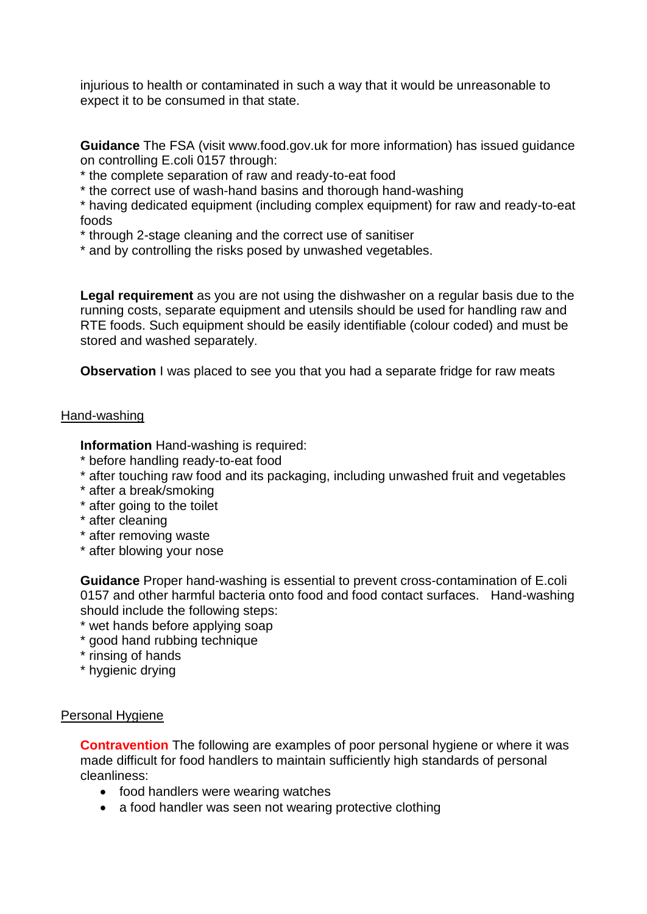injurious to health or contaminated in such a way that it would be unreasonable to expect it to be consumed in that state.

**Guidance** The FSA (visit www.food.gov.uk for more information) has issued guidance on controlling E.coli 0157 through:

\* the complete separation of raw and ready-to-eat food

\* the correct use of wash-hand basins and thorough hand-washing

\* having dedicated equipment (including complex equipment) for raw and ready-to-eat foods

\* through 2-stage cleaning and the correct use of sanitiser

\* and by controlling the risks posed by unwashed vegetables.

**Legal requirement** as you are not using the dishwasher on a regular basis due to the running costs, separate equipment and utensils should be used for handling raw and RTE foods. Such equipment should be easily identifiable (colour coded) and must be stored and washed separately.

**Observation** I was placed to see you that you had a separate fridge for raw meats

#### Hand-washing

**Information** Hand-washing is required:

- \* before handling ready-to-eat food
- \* after touching raw food and its packaging, including unwashed fruit and vegetables
- \* after a break/smoking
- \* after going to the toilet
- \* after cleaning
- \* after removing waste
- \* after blowing your nose

**Guidance** Proper hand-washing is essential to prevent cross-contamination of E.coli 0157 and other harmful bacteria onto food and food contact surfaces. Hand-washing should include the following steps:

- \* wet hands before applying soap
- \* good hand rubbing technique
- \* rinsing of hands
- \* hygienic drying

#### Personal Hygiene

**Contravention** The following are examples of poor personal hygiene or where it was made difficult for food handlers to maintain sufficiently high standards of personal cleanliness:

- food handlers were wearing watches
- a food handler was seen not wearing protective clothing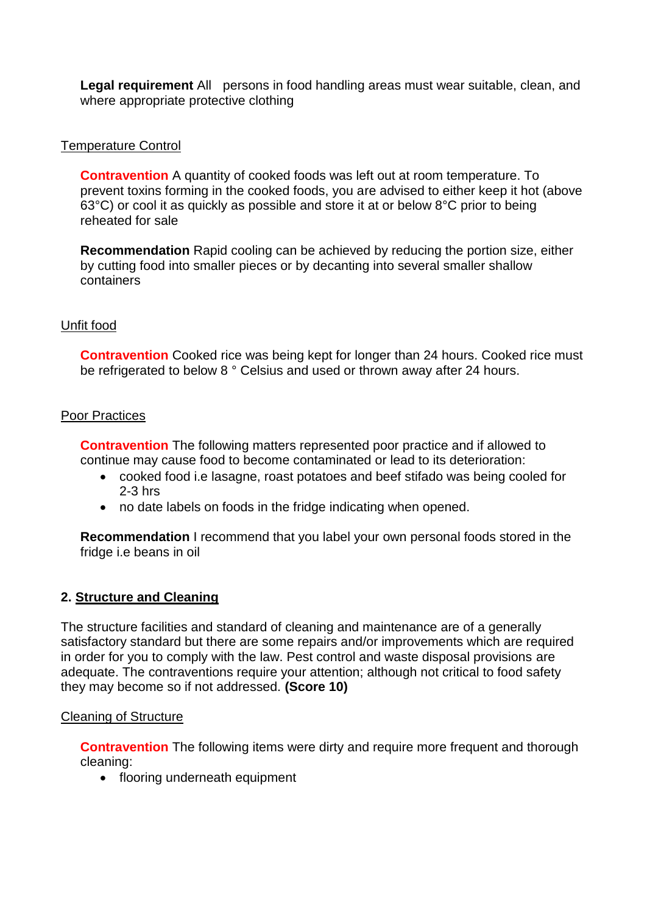**Legal requirement** All persons in food handling areas must wear suitable, clean, and where appropriate protective clothing

#### Temperature Control

**Contravention** A quantity of cooked foods was left out at room temperature. To prevent toxins forming in the cooked foods, you are advised to either keep it hot (above 63°C) or cool it as quickly as possible and store it at or below 8°C prior to being reheated for sale

**Recommendation** Rapid cooling can be achieved by reducing the portion size, either by cutting food into smaller pieces or by decanting into several smaller shallow containers

# Unfit food

**Contravention** Cooked rice was being kept for longer than 24 hours. Cooked rice must be refrigerated to below 8 ° Celsius and used or thrown away after 24 hours.

#### Poor Practices

**Contravention** The following matters represented poor practice and if allowed to continue may cause food to become contaminated or lead to its deterioration:

- cooked food i.e lasagne, roast potatoes and beef stifado was being cooled for 2-3 hrs
- no date labels on foods in the fridge indicating when opened.

**Recommendation** I recommend that you label your own personal foods stored in the fridge i.e beans in oil

# **2. Structure and Cleaning**

The structure facilities and standard of cleaning and maintenance are of a generally satisfactory standard but there are some repairs and/or improvements which are required in order for you to comply with the law. Pest control and waste disposal provisions are adequate. The contraventions require your attention; although not critical to food safety they may become so if not addressed. **(Score 10)**

#### Cleaning of Structure

**Contravention** The following items were dirty and require more frequent and thorough cleaning:

• flooring underneath equipment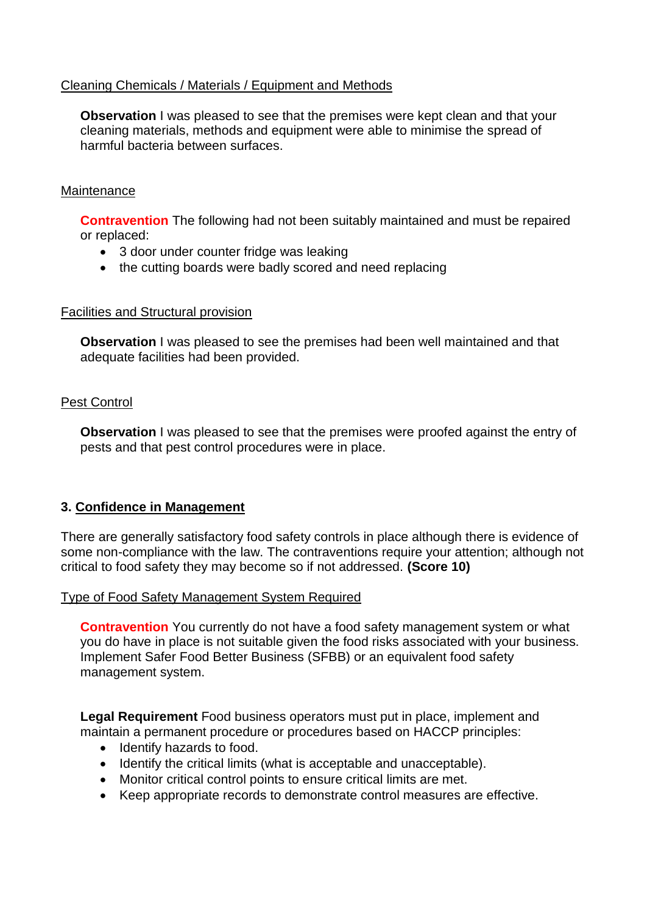### Cleaning Chemicals / Materials / Equipment and Methods

**Observation** I was pleased to see that the premises were kept clean and that your cleaning materials, methods and equipment were able to minimise the spread of harmful bacteria between surfaces.

### **Maintenance**

**Contravention** The following had not been suitably maintained and must be repaired or replaced:

- 3 door under counter fridge was leaking
- the cutting boards were badly scored and need replacing

#### Facilities and Structural provision

**Observation** I was pleased to see the premises had been well maintained and that adequate facilities had been provided.

# Pest Control

**Observation** I was pleased to see that the premises were proofed against the entry of pests and that pest control procedures were in place.

#### **3. Confidence in Management**

There are generally satisfactory food safety controls in place although there is evidence of some non-compliance with the law. The contraventions require your attention; although not critical to food safety they may become so if not addressed. **(Score 10)**

#### Type of Food Safety Management System Required

**Contravention** You currently do not have a food safety management system or what you do have in place is not suitable given the food risks associated with your business. Implement Safer Food Better Business (SFBB) or an equivalent food safety management system.

**Legal Requirement** Food business operators must put in place, implement and maintain a permanent procedure or procedures based on HACCP principles:

- Identify hazards to food.
- Identify the critical limits (what is acceptable and unacceptable).
- Monitor critical control points to ensure critical limits are met.
- Keep appropriate records to demonstrate control measures are effective.